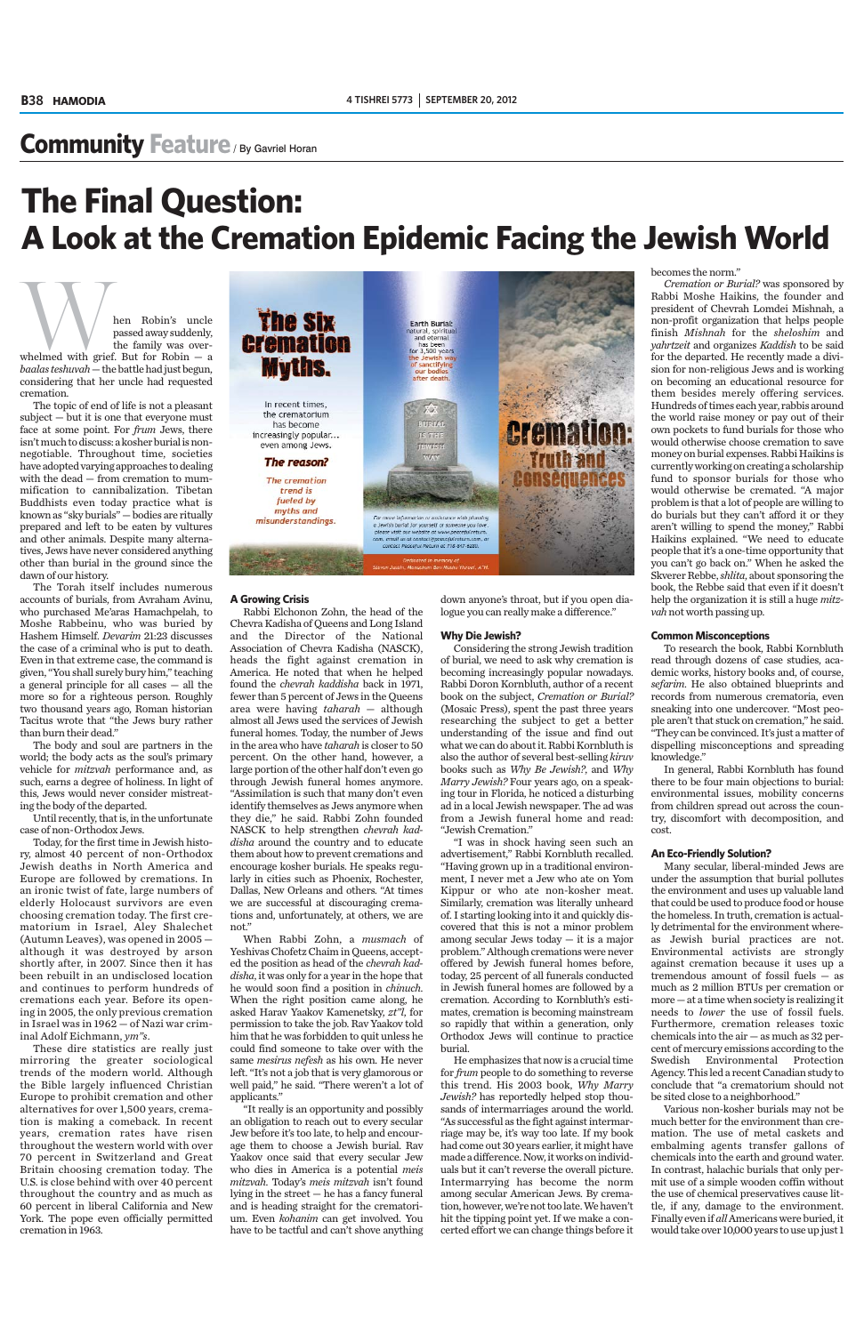# **Community Feature** / By Gavriel Horan

Men Robin's uncle<br>
passed away suddenly,<br>
the family was over-<br>
whelmed with grief. But for Robin – a passed away suddenly, the family was over-

*baalas teshuvah*— the battle had just begun, considering that her uncle had requested cremation.

The topic of end of life is not a pleasant subject — but it is one that everyone must face at some point. For *frum* Jews, there isn't much to discuss: a kosher burial is nonnegotiable. Throughout time, societies have adopted varying approaches to dealing with the dead — from cremation to mummification to cannibalization. Tibetan Buddhists even today practice what is known as "sky burials" — bodies are ritually prepared and left to be eaten by vultures and other animals. Despite many alternatives, Jews have never considered anything other than burial in the ground since the dawn of our history.

The Torah itself includes numerous accounts of burials, from Avraham Avinu, who purchased Me'aras Hamachpelah, to Moshe Rabbeinu, who was buried by Hashem Himself. *Devarim* 21:23 discusses the case of a criminal who is put to death. Even in that extreme case, the command is given, "You shall surely bury him," teaching a general principle for all cases — all the more so for a righteous person. Roughly two thousand years ago, Roman historian Tacitus wrote that "the Jews bury rather than burn their dead."

The body and soul are partners in the world; the body acts as the soul's primary vehicle for *mitzvah* performance and, as such, earns a degree of holiness. In light of this, Jews would never consider mistreating the body of the departed.

Until recently, that is, in the unfortunate case of non-Orthodox Jews.

Today, for the first time in Jewish history, almost 40 percent of non-Orthodox Jewish deaths in North America and Europe are followed by cremations. In an ironic twist of fate, large numbers of elderly Holocaust survivors are even choosing cremation today. The first crematorium in Israel, Aley Shalechet (Autumn Leaves), was opened in 2005 although it was destroyed by arson shortly after, in 2007. Since then it has been rebuilt in an undisclosed location and continues to perform hundreds of cremations each year. Before its opening in 2005, the only previous cremation in Israel was in 1962 — of Nazi war criminal Adolf Eichmann, *ym"s*. These dire statistics are really just mirroring the greater sociological trends of the modern world. Although the Bible largely influenced Christian Europe to prohibit cremation and other alternatives for over 1,500 years, cremation is making a comeback. In recent years, cremation rates have risen throughout the western world with over 70 percent in Switzerland and Great Britain choosing cremation today. The U.S. is close behind with over 40 percent throughout the country and as much as 60 percent in liberal California and New York. The pope even officially permitted cremation in 1963.



#### **A Growing Crisis**

Rabbi Elchonon Zohn, the head of the Chevra Kadisha of Queens and Long Island and the Director of the National Association of Chevra Kadisha (NASCK), heads the fight against cremation in America. He noted that when he helped found the *chevrah kaddisha* back in 1971, fewer than 5 percent of Jews in the Queens area were having *taharah* — although almost all Jews used the services of Jewish funeral homes. Today, the number of Jews in the area who have *taharah* is closer to 50 percent. On the other hand, however, a large portion of the other half don't even go through Jewish funeral homes anymore. "Assimilation is such that many don't even identify themselves as Jews anymore when they die," he said. Rabbi Zohn founded NASCK to help strengthen *chevrah kaddisha* around the country and to educate them about how to prevent cremations and encourage kosher burials. He speaks regularly in cities such as Phoenix, Rochester, Dallas, New Orleans and others. "At times we are successful at discouraging cremations and, unfortunately, at others, we are not."

When Rabbi Zohn, a *musmach* of Yeshivas Chofetz Chaim in Queens, accepted the position as head of the *chevrah kaddisha*, it was only for a year in the hope that he would soon find a position in *chinuch*. When the right position came along, he asked Harav Yaakov Kamenetsky, *zt"l*, for permission to take the job. Rav Yaakov told him that he was forbidden to quit unless he could find someone to take over with the same *mesirus nefesh* as his own. He never left. "It's not a job that is very glamorous or well paid," he said. "There weren't a lot of applicants." "It really is an opportunity and possibly an obligation to reach out to every secular Jew before it's too late, to help and encourage them to choose a Jewish burial. Rav Yaakov once said that every secular Jew who dies in America is a potential *meis mitzvah*. Today's *meis mitzvah* isn't found lying in the street — he has a fancy funeral and is heading straight for the crematorium. Even *kohanim* can get involved. You have to be tactful and can't shove anything down anyone's throat, but if you open dialogue you can really make a difference."

#### **Why Die Jewish?**

Considering the strong Jewish tradition of burial, we need to ask why cremation is becoming increasingly popular nowadays. Rabbi Doron Kornbluth, author of a recent book on the subject, *Cremation or Burial?* (Mosaic Press), spent the past three years researching the subject to get a better understanding of the issue and find out what we can do about it. Rabbi Kornbluth is also the author of several best-selling *kiruv* books such as *Why Be Jewish?*, and *Why Marry Jewish?* Four years ago, on a speaking tour in Florida, he noticed a disturbing ad in a local Jewish newspaper. The ad was from a Jewish funeral home and read: "Jewish Cremation."

"I was in shock having seen such an advertisement," Rabbi Kornbluth recalled. "Having grown up in a traditional environment, I never met a Jew who ate on Yom Kippur or who ate non-kosher meat. Similarly, cremation was literally unheard of. I starting looking into it and quickly discovered that this is not a minor problem among secular Jews today — it is a major problem." Although cremations were never offered by Jewish funeral homes before, today, 25 percent of all funerals conducted in Jewish funeral homes are followed by a cremation. According to Kornbluth's estimates, cremation is becoming mainstream so rapidly that within a generation, only Orthodox Jews will continue to practice burial. He emphasizes that now is a crucial time for *frum* people to do something to reverse this trend. His 2003 book, *Why Marry Jewish?* has reportedly helped stop thousands of intermarriages around the world. "As successful as the fight against intermarriage may be, it's way too late. If my book had come out 30 years earlier, it might have made a difference. Now, it works on individuals but it can't reverse the overall picture. Intermarrying has become the norm among secular American Jews. By cremation, however, we're not too late. We haven't hit the tipping point yet. If we make a concerted effort we can change things before it becomes the norm."

*Cremation or Burial?* was sponsored by Rabbi Moshe Haikins, the founder and president of Chevrah Lomdei Mishnah, a non-profit organization that helps people finish *Mishnah* for the *sheloshim* and *yahrtzeit* and organizes *Kaddish* to be said for the departed. He recently made a division for non-religious Jews and is working on becoming an educational resource for them besides merely offering services. Hundreds of times each year, rabbis around the world raise money or pay out of their own pockets to fund burials for those who would otherwise choose cremation to save money on burial expenses. Rabbi Haikins is currently working on creating a scholarship fund to sponsor burials for those who would otherwise be cremated. "A major problem is that a lot of people are willing to do burials but they can't afford it or they aren't willing to spend the money," Rabbi Haikins explained. "We need to educate people that it's a one-time opportunity that you can't go back on." When he asked the Skverer Rebbe, *shlita*, about sponsoring the book, the Rebbe said that even if it doesn't help the organization it is still a huge *mitzvah* not worth passing up.

#### **Common Misconceptions**

To research the book, Rabbi Kornbluth read through dozens of case studies, academic works, history books and, of course, *sefarim*. He also obtained blueprints and records from numerous crematoria, even sneaking into one undercover. "Most people aren't that stuck on cremation," he said. "They can be convinced. It's just a matter of dispelling misconceptions and spreading knowledge."

In general, Rabbi Kornbluth has found there to be four main objections to burial: environmental issues, mobility concerns from children spread out across the country, discomfort with decomposition, and cost.

#### **An Eco-Friendly Solution?**

Many secular, liberal-minded Jews are under the assumption that burial pollutes the environment and uses up valuable land that could be used to produce food or house the homeless. In truth, cremation is actually detrimental for the environment whereas Jewish burial practices are not. Environmental activists are strongly against cremation because it uses up a tremendous amount of fossil fuels — as much as 2 million BTUs per cremation or more — at a time when society is realizing it needs to *lower* the use of fossil fuels. Furthermore, cremation releases toxic chemicals into the air — as much as 32 percent of mercury emissions according to the Swedish Environmental Protection Agency. This led a recent Canadian study to conclude that "a crematorium should not be sited close to a neighborhood." Various non-kosher burials may not be much better for the environment than cremation. The use of metal caskets and embalming agents transfer gallons of chemicals into the earth and ground water. In contrast, halachic burials that only permit use of a simple wooden coffin without the use of chemical preservatives cause little, if any, damage to the environment. Finally even if *all* Americans were buried, it would take over 10,000 years to use up just 1

# **The Final Question: A Look at the Cremation Epidemic Facing the Jewish World**